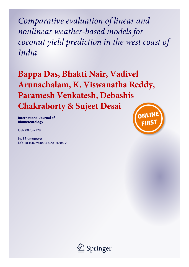*Comparative evaluation of linear and nonlinear weather-based models for coconut yield prediction in the west coast of India*

**Bappa Das, Bhakti Nair, Vadivel Arunachalam, K. Viswanatha Reddy, Paramesh Venkatesh, Debashis Chakraborty & Sujeet Desai**

**International Journal of Biometeorology**

ISSN 0020-7128

Int J Biometeorol DOI 10.1007/s00484-020-01884-2



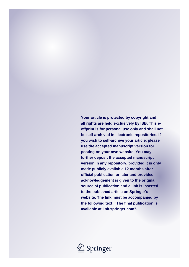**Your article is protected by copyright and all rights are held exclusively by ISB. This eoffprint is for personal use only and shall not be self-archived in electronic repositories. If you wish to self-archive your article, please use the accepted manuscript version for posting on your own website. You may further deposit the accepted manuscript version in any repository, provided it is only made publicly available 12 months after official publication or later and provided acknowledgement is given to the original source of publication and a link is inserted to the published article on Springer's website. The link must be accompanied by the following text: "The final publication is available at link.springer.com".**

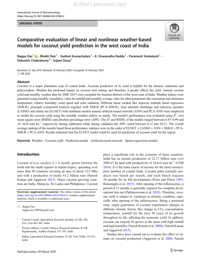#### ORIGINAL PAPER



# Comparative evaluation of linear and nonlinear weather-based models for coconut yield prediction in the west coast of India

Bappa Das<sup>1</sup>  $\cdot$  Bhakti Nair<sup>1</sup> • Vadivel Arunachalam<sup>1</sup> • K. Viswanatha Reddy<sup>1</sup> • Paramesh Venkatesh<sup>1</sup> • Debashis Chakraborty<sup>3</sup>  $\cdot$  Sujeet Desai<sup>1</sup>

Received: 25 July 2019 / Revised: 10 February 2020 / Accepted: 19 February 2020 C ISB 2020

#### Abstract

Coconut is a major plantation crop of coastal India. Accurate prediction of its yield is helpful for the farmers, industries and policymakers. Weather has profound impact on coconut fruit setting, and therefore, it greatly affects the yield. Annual coconut yield and monthly weather data for 2000–2015 were compiled for fourteen districts of the west coast of India. Weather indices were generated using monthly cumulative value for rainfall and monthly average value for other parameters like maximum and minimum temperature, relative humidity, wind speed and solar radiation. Different linear models like stepwise multiple linear regression (SMLR), principal component analysis together with SMLR (PCA-SMLR), least absolute shrinkage and selection operator (LASSO) and elastic net (ELNET) with nonlinear models namely artificial neural network (ANN) and PCA-ANN were employed to model the coconut yield using the monthly weather indices as inputs. The model's performance was evaluated using  $R^2$ , root mean square error (RMSE) and absolute percentage error (APE). The  $R^2$  and RMSE of the models ranged between 0.45–0.99 and 18–3624 nuts ha−<sup>1</sup> respectively during calibration while during validation the APE varied between 0.12 and 58.21. The overall average ranking of the models based these performance statistics were in the order of ELNET > LASSO > ANN > SMLR > PCA-SMLR > PCA-ANN. Results indicated that the ELNET model could be used for prediction of coconut yield for the region.

Keywords Weather . Coconut yield . Prediction model . Artificial neural network . Sparse regression models

# Introduction

Coconut (Cocos nucifera L.) is mostly grown between the north and the south equator in humid tropics, spreading over more than 90 countries covering an area of about 12.9 Mha and with a production of nearly 61.2 billion nuts (Naresh Kumar and Aggarwal [2013](#page-14-0)). Major coconut growing countries are India, Malaysia, Sri Lanka and Philippines. Coconut

Electronic supplementary material The online version of this article ([https://doi.org/10.1007/s00484-020-01884-2\)](https://doi.org/10.1007/s00484-020-01884-2) contains supplementary material, which is available to authorized users.

- <sup>2</sup> Present address: Central Tobacco Research Institute, ICAR, Rajahmundry, Andhra Pradesh 533 105, India
- <sup>3</sup> Indian Agricultural Research Institute, ICAR, New Delhi 110 012, India

plays a significant role in the economy of these countries. India has an annual production of 22.17 billion nuts over 2088.47 ha land with productivity of 10,614 nuts ha<sup>-1</sup> (CDB [2016\)](#page-13-0). It is the main source of income for the most resourcepoor families of coastal India. Coconut palm normally produces one bunch per month, and each bunch requires 38 months for its full development (Peiris and Peries [1993;](#page-14-0) Ranasinghe et al. [2015\)](#page-14-0). After opening of the inflorescence, a period of 11 months is generally required for complete development into nut (Pathmeswaran et al. [2018](#page-14-0)). Therefore, coconut yield is subject to variations in climatic condition, especially after opening of the inflorescence. Being a perennial crop, single generation of coconut experiences changes in different climatic factors like change in  $CO<sub>2</sub>$  concentration, temperature, rainfall for the next 50 years of its growth throughout its life, affecting the economic yield. In addition, coconut can majorly be grown in the areas with high rainfall and high humidity (Naresh Kumar et al. [2009a](#page-14-0); Naresh Kumar and Aggarwal [2013](#page-14-0)).

Studies have been carried out to evaluate the effect of climate on coconut production (Aggarwal et al. [2006](#page-13-0); Naresh

 $\boxtimes$  Bappa Das [bappa.iari.1989@gmail.com](mailto:bappa.iari.1989@gmail.com)

<sup>&</sup>lt;sup>1</sup> Central Coastal Agricultural Research Institute, ICAR, Old Goa, Goa 403 402, India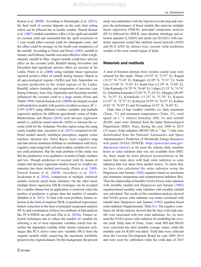Kumar et al. [2009b\)](#page-14-0). According to Ranasinghe et al. [\(2015\)](#page-14-0), the final yield of coconut depends on the early fruit setting which can be affected due to hostile weather. Naresh Kumar et al. ([2007\)](#page-14-0) studied cumulative effect of dry spell and rainfall on coconut yield and concluded that dry spell occurrence in 1 year would affect coconut yield for subsequent years, and the effect could be stronger on the fourth year irrespective of the rainfall. According to Peiris and Peries [\(1993\)](#page-14-0), rainfall in January and February months was most effective while a highintensity rainfall in May–August months could have adverse effect on the coconut yield. Rainfall during November and December had significant adverse effect on coconut in Sri Lanka. Peiris et al. ([2008\)](#page-14-0) using multiple linear regression reported positive effect of rainfall during January–March in all agro-ecological regions (AERs) and July–September on coconut production in the wetter regions of Sri Lanka. Rainfall, relative humidity and temperature of previous year during February, June, July, September and December months influenced the coconut yield to a large extent (Peiris and Thattil [1998](#page-14-0)). Naresh Kumar et al. [\(2009b](#page-14-0)) developed coconut yield prediction models with good to excellent accuracy ( $R^2$  = 0.591–0.997) using different weather variables and multiple regression analysis for different agroclimatic zones of India. Balakrishnan and Meena ([2010](#page-13-0)) used advance regression model i.e. artificial neural network (ANN) to forecast the coconut yield for the Andaman–Nicobar region using the using yearly weather data. Jayashree et al. ([2015](#page-13-0)) compared six different models namely multilayer perceptron, support vector machine, decision tree, Naïve Bayes, fuzzy cognitive map and data-driven nonlinear Hebbian in combination with fuzzy cognitive map using both soil and weather variables for coconut yield prediction. But the main problem of this study was that the predictions were qualitative in terms of high, medium and low. Though prediction of coconut yield by means of simple and advance regression models based on weather parameters has been studied previously (Peiris et al. [2008](#page-14-0); Naresh Kumar et al. [2009b](#page-14-0); Jayashree et al. [2015](#page-13-0); Jayakumar et al. [2016\)](#page-13-0), comparison of multiple statistical models received much lesser attention. On the other hand, multiple linear regression (MLR) technique can be accepted for a smaller dataset but its application is restricted when the number of predictors is greater than the number of samples (Balabin et al. [2011\)](#page-13-0). To deal with such problem, feature selection in the form of stepwise MLR or penalized regressions, feature extraction in the form of principal component analysis (PCA) and combination of these two methods of data analysis like PCA-SMLR are advised (Das et al. [2018a\)](#page-13-0). Feature selection techniques aim to reduce the number of variables by selecting a set of most important variables which best describes the dependent variable while feature extraction techniques like PCA derive some new variables (PCs) from the original variable while conserving the maximum variability present in the original dataset. On this background, the present

study was undertaken with the objectives to develop and compare the performance of linear models like stepwise multiple linear regression (SMLR), principal component analysis (PCA) followed by SMLR, least absolute shrinkage and selection operator (LASSO) and elastic net (ELNET) with nonlinear regression model like artificial neural network (ANN) and PCA-ANN for district-wise coconut yield prediction models of the west coastal region of India.

# Materials and methods

A total of fourteen districts from western coastal zone were selected for this study: Thane (19.29° N, 72.97° E), Raigad (18.51° N, 73.18° E), Ratnagiri (16.99° N, 73.31° E), North Goa (15.49° N, 73.83° E), South Goa (15.39° N, 73.84° E), Uttar Kannada (14.79° N, 74.68° E), Udupi (13.33° N, 74.74° E), Dakshina Kannada (12.84° N, 75.24° E), Alleppey (09.49° N, 76.33° E), Kozhikode (11.25° N, 75.78° E), Kannur (11.87° N, 75.37° E), Kottayam (9.59° N, 76.52° E), Kollam (9.01° N, 76.93° E) and Trivandrum (8.52° N, 76.94° E).

Daily data of four weather variables viz. daily maximum (Tmax, °C) and minimum temperatures (Tmin, °C), wind speed (m s<sup>-1</sup>), relative humidity (RH, %) and rainfall (RAIN, mm) were obtained from the India Meteorological Department (IMD), Pune, during the year 2000 to 2015 (15 years). Solar radiation (SRAD, MJ m<sup>-2</sup> day<sup>-1</sup>) data were downloaded from the National Aeronautics and Space Administration's Prediction of Worldwide Energy Resources web portal (NASA POWER; [https://power.larc.nasa.gov/](https://power.larc.nasa.gov/data-access-viewer/) [data-access-viewer/](https://power.larc.nasa.gov/data-access-viewer/)) as for most the stations daily sunshine hours or solar radiation data was not available from IMD. So, there might be some physical inconsistencies in the inputs like rainy days with high solar radiation as solar radiation data was taken from another source. To check that, we have also calculated the solar radiation using the Hargreaves and Samani [\(1982\)](#page-13-0) equation based on maximum and minimum temperature and extraterrestrial radiation (Ra). Then the relationship of monthly NASA Power solar radiation with monthly rainfall and Hargreaves and Samani ([1982](#page-13-0)) equation-based monthly solar radiation with monthly rainfall was calculated. The results of the correlation analysis showed that NASA power solar radiation was better correlated with rainfall than Hargreaves and Samani [\(1982\)](#page-13-0) equation-based solar radiation (Supplementary Table S1). The negative correlation for all the stations showed that the days with high rainfall were associated with low solar radiations. So, we have used the NASA power solar radiation for modelling the coconut yield. Daily data of Tmax, Tmin, wind, RH and SRAD were converted into their monthly average values, while the monthly sum for RAIN was taken. Yield data were collected from the Coconut Development Board for year 2000–2014 and were used for calibration while the yield data of 2015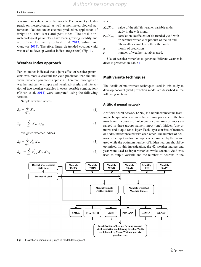was used for validation of the models. The coconut yield depends on meteorological as well as non-meteorological parameters like area under coconut production, application of irrigation, fertilizers and pesticides. The total nonmeteorological parameters have been growing steadily and are difficult to quantify (Subash et al. [2013;](#page-14-0) Subash and Gangwar [2014](#page-14-0)). Therefore, linear de-trended coconut yield was used to develop weather indices (regressors) (Fig. 1).

#### Weather index approach

Earlier studies indicated that a joint effect of weather parameters was more successful for yield prediction than the individual weather parameter approach. Therefore, two types of weather indices i.e. simple and weighted (single, and interaction of two weather variables in every possible combination) (Ghosh et al. [2014](#page-13-0)) were computed using the following formula:

Simple weather indices

$$
Z_{ij} = \sum_{m=1}^{n} X_{im} \tag{1}
$$

$$
Z_{ii'j} = \sum_{m=1}^{n} X_{im} X'_{i'm}
$$
 (2)

Weighted weather indices

$$
Z_{ij} = \sum_{m=1}^{n} r_{im}^j X_{im} \tag{3}
$$

$$
Z_{ii'j} = \sum_{m=1}^{n} r_{ii'm}^j X_{im} X_{i'm}
$$
 (4)

#### where

| value of the <i>i</i> th/ <i>i</i> 'th weather variable under  |
|----------------------------------------------------------------|
| study in the <i>mth</i> month                                  |
| correlation coefficient of de-trended yield with               |
| <i>i</i> th weather variable or product of the <i>i</i> th and |
| i'th weather variables in the mth month                        |
| month of prediction                                            |
| number of weather variables used.                              |
|                                                                |

Use of weather variables to generate different weather indices is presented in Table [1](#page-5-0).

#### Multivariate techniques

The details of multivariate techniques used in this study to develop coconut yield prediction model are described in the following sections:

#### Artificial neural network

Artificial neural network (ANN) is a nonlinear machine learning technique which mimics the working principle of the human brain. It consists of interconnected neurons or nodes arranged in three groups namely input (one), hidden (one or more) and output (one) layer. Each layer consists of neurons or nodes interconnected with each other. The number of neurons in the input and output layers is determined by the dataset used while the optimum number of hidden neurons should be optimized. In this investigation, the 42 weather indices and year were used as input variables while coconut yield was used as output variable and the number of neurons in the



Fig. 1 Flowchart demonstrating steps in model development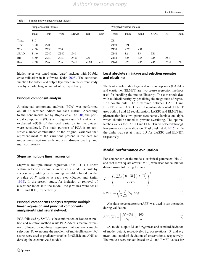|             | Simple weather indices |                  |                  |             |                  |      | Weighted weather indices |      |      |             |                  |      |
|-------------|------------------------|------------------|------------------|-------------|------------------|------|--------------------------|------|------|-------------|------------------|------|
|             | Tmax                   | Tmin             | Wind             | <b>SRAD</b> | RH               | Rain | Tmax                     | Tmin | Wind | <b>SRAD</b> | <b>RH</b>        | Rain |
| Tmax        | Z <sub>10</sub>        |                  |                  |             |                  |      | Z11                      |      |      |             |                  |      |
| Tmin        | Z <sub>120</sub>       | Z20              |                  |             |                  |      | Z <sub>121</sub>         | Z21  |      |             |                  |      |
| Wind        | Z <sub>130</sub>       | Z230             | Z30              |             |                  |      | Z <sub>131</sub>         | Z231 | Z31  |             |                  |      |
| <b>SRAD</b> | Z <sub>140</sub>       | Z240             | Z340             | Z40         |                  |      | Z <sub>141</sub>         | Z241 | Z341 | Z41         |                  |      |
| <b>RH</b>   | Z <sub>150</sub>       | Z <sub>250</sub> | Z350             | Z450        | Z <sub>50</sub>  |      | Z <sub>151</sub>         | Z251 | Z351 | Z451        | Z51              |      |
| Rain        | Z <sub>160</sub>       | Z <sub>260</sub> | Z <sub>360</sub> | Z460        | Z <sub>560</sub> | Z60  | Z <sub>161</sub>         | Z261 | Z361 | Z461        | Z <sub>561</sub> | Z61  |

#### <span id="page-5-0"></span>Table 1 Simple and weighted weather indices

hidden layer was tuned using 'caret' package with 10-fold cross-validation in R software (Kuhn [2008\)](#page-13-0). The activation function for hidden and output layer used in the current study was hyperbolic tangent and identity, respectively.

#### Principal component analysis

A principal component analysis (PCA) was performed on all 42 weather indices for each district. According to the benchmarks set by Brejda et al. ([2000\)](#page-13-0), the principal components (PCs) with eigenvalues > 1 and which explained  $\sim$  95% of the total variation in the dataset were considered. The main purpose of PCA is to construct a linear combination of the original variables that represent most of the variations present in the data set under investigation with reduced dimensionality and multicollinearity.

#### Stepwise multiple linear regression

Stepwise multiple linear regression (SMLR) is a linear feature selection technique in which a model is built by successively adding or removing variables based on the  $p$  value of  $F$  statistic at each step (Draper and Smith [1998](#page-13-0)). In the present study, for inclusion or removal of a weather index into the model, the  $p$  values were set at 0.05 and 0.10, respectively.

## Principal components analysis-stepwise multiple linear regression and principal components analysis-artificial neural network

PCA followed by SMLR is the combination of feature extraction and selection method while PCA-ANN is feature extraction followed by nonlinear regression without any variable selection. To overcome the problem of multicollinearity, PC scores were used as predictor variables for SMLR and ANN to develop the coconut yield models.

## Least absolute shrinkage and selection operator and elastic net

The least absolute shrinkage and selection operator (LASSO) and elastic net (ELNET) are two sparse regression methods used for handling the multicollinearity. These methods deal with multicollinearity by penalizing the magnitude of regression coefficients. The difference between LASSO and ELNET is that LASSO uses L1 regularization while ELNET uses both L1 and L2 regularization. LASSO and ELNET implementation have two parameters namely lambda and alpha which should be tuned to prevent overfitting. The optimal lambda values for LASSO and ELNET were selected through leave-one-out cross-validation (Piaskowski et al. [2016\)](#page-14-0) while the alpha was set at 1 and 0.5 for LASSO and ELNET, respectively.

#### Model performance evaluation

For comparison of the models, statistical parameters like  $R^2$ and root mean square error (RMSE) were used for calibration dataset using following formula:

$$
R^{2} = \left(\frac{\frac{1}{n}\sum_{i=1}^{n}\left(M_{i}\overline{-M}\right)\left(O_{i}\overline{-O}\right)}{\sigma_{\mathrm{M}}\sigma_{\mathrm{O}}}\right)^{2}
$$
(5)

RMSE = 
$$
\sqrt{\frac{1}{n} \sum_{i=1}^{n} (O_i - M_i)^2}
$$
 (6)

Absolute percentage error (APE) was used to test the model during validation.

$$
APE \ (\%) = \left| \frac{(M_i - O_i)}{O_i} \right| \times \frac{100}{n} \tag{7}
$$

 $M_i$ : model output;  $\overline{M}$  and  $\sigma_M$ : mean and standard deviation of model output, respectively;  $O_i$ : observations;  $\overline{O}$  and  $\sigma_O$ : mean and standard deviation of observations, respectively. The models were ranked based on  $R^2$  and RMSE values for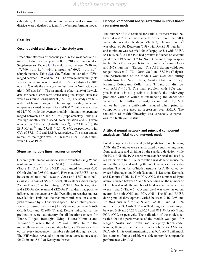calibration; APE of validation and average ranks across the districts were calculated to identify the best performing model.

## **Results**

## Coconut yield and climate of the study area

Descriptive statistics of coconut yield in the west coastal districts of India over the years 2000 to 2015 are presented in Supplementary Table S1. The yield varied between 2940 and 17,749 nuts ha<sup>-1</sup> with a mean of 6953 nuts ha<sup>-1</sup> (Supplementary Table S2). Coefficients of variation (CVs) ranged between 1.25 and 56.02%. The average maximum yield across the years was recorded in Raigad district (9885 nuts ha<sup>-1</sup>) while the average minimum was in North Goa district (4965 nuts  $ha^{-1}$ ). The assumptions of normality of the yield data for each district were tested using the Jarque–Bera test which was found nonsignificant ( $p > 0.05$ ). The study area falls under hot humid ecoregion. The average monthly maximum temperature varied between 25.9 and 38.0 °C with a mean value of 31.7 °C while the average monthly minimum temperature ranged between 15.5 and 29.1 °C (Supplementary Table S3). Average monthly wind speed, solar radiation and RH were recorded as 3.9 m s<sup>-1</sup> (1.4–10.0 m s<sup>-1</sup>), 19.7 MJ m<sup>-2</sup> (0.0– 28.5 MJ m<sup>-2</sup>) and 77.6% (40.1–92.8%), respectively with CVs of 37.1, 17.8 and 13.1%, respectively. The mean annual rainfall of the region was 2734.8 mm (1790.3–3636.7 mm) with a CV of 19.9%.

## Stepwise multiple linear regression model

Coconut yield prediction models were evaluated using  $R^2$  and root mean square error (RMSE) for calibration dataset (Table [2\)](#page-7-0). The  $R^2$  for SMLR was ranged between 0.57 (North Goa) to 0.98 (Kottayam). However, the RMSE varied between 25 nuts ha<sup>-1</sup> (South Goa) and 1857 nuts ha<sup>-1</sup> (Raigad). In case of SMLR model, all weather indices except Z50 for Thane, Z140 for Ratnagiri, Z240 for South Goa, Z450 and Z230 for Kottayam and Z120 for Trivandrum had positive influence on the coconut yield. Decoding of weather indices revealed that Tmin had the maximum influence on coconut yield followed by RH and wind speed. The absolute percentage error during validation (APEV) varied between 0.86% (North Goa) and 52.84% (Thane). Results indicated that the predictions were satisfactory for all locations except for Thane, Raigad, Ratnagiri, Udupi, Uttara Kannada and Trivandrum where the APEV was > 10%. To test the multicollinearity, variance inflation factor (VIF) was calculated for every independent variable selected through SMLR. The VIF values revealed no or moderate correlation except for Z130 and Z230 of Kottayam district.

#### Principal component analysis-stepwise multiple linear regression model

The number of PCs retained for various districts varied between 4 and 7 which were able to explain more than 90% variability present in the dataset (Table [3\)](#page-8-0). The maximum  $R^2$ was observed for Kottayam (0.98) with RMSE 58 nuts  $ha^{-1}$ , and minimum was recorded for Alleppey (0.53) with RMSE 551 nuts ha−<sup>1</sup> . All the PCs had positive influence on coconut yield except PC5 and PC2 for North Goa and Udupi, respectively. The RMSE ranged between 38 nuts  $ha^{-1}$  (South Goa) and 2478 nuts ha<sup> $-1$ </sup> (Raigad). The APE during validation ranged between 0.17% (North Goa) and 57.73% (Raigad). The performance of the models was excellent during validation for North Goa, South Goa, Alleppey, Kannur, Kottayam, Kollam and Trivandrum districts with APEV < 10%. The main problem with PCA analysis is that it is not possible to identify the underlying predictor variable which is influencing the dependent variable. The multicollinearity as indicated by VIF values has been significantly reduced when principal components were used as regressors over SMLR. The reduction of multicollinearity was especially conspicuous for Kottayam district.

# Artificial neural network and principal component analysis-artificial neural network model

For development of coconut yield prediction models using ANN, the Z variates were standardized by substracting mean from each case and dividing by the standard deviation while for PCA-ANN the PCA scores were standardized and used as regressors with time. Standardization was done to reduce the multicollinearity and making the input variables scale independent. The number of hidden neurons for ANN varied between 5 (Ratnagiri and North Goa) and 11 (Dakshina Kannada and Kannur) (Table [4](#page-9-0)). For PCA-ANN, the number of input neurons ranged between 5 and 8 depending on the number of PCs retained while the number of hidden neurons varied between 1 and 6 (Table [5](#page-9-0)). Coconut yield was taken as output neuron for both ANN and PCA-ANN. The  $R^2$  and RMSE during model development varied between 0.46–0.95 and 19–3624 nuts ha−<sup>1</sup> for ANN and 0.45–0.96 and 34–3024 nuts ha−<sup>1</sup> for PCA-ANN. The APE during validation ranged between 0.19 and 54.23% and 0.27 and 58.21% for ANN and PCA-ANN, respectively. The validation of the models revealed that the performance of the models was good for Raigad, North Goa, South Goa, Alleppey, Kozhikode, Kannur, Kottayam and Kollam districts both for ANN and PCA-ANN. It is worth mentioning that PCA-ANN with much less number of input variable was able to provide comparable performance with ANN.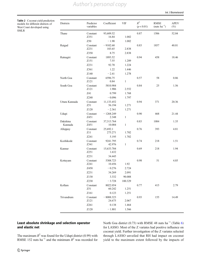# *Author's personal copy*

Int J Biometeorol

<span id="page-7-0"></span>Table 2 Coconut yield prediction models for different districts of West Coast developed using SMLR

| Districts           | Predictor<br>variables | Coefficient           | VIF          | $R^2$<br>(p < 0.01) | <b>RMSE</b><br>(nuts $ha^{-1}$ ) | <b>APEV</b><br>$(\%)$ |
|---------------------|------------------------|-----------------------|--------------|---------------------|----------------------------------|-----------------------|
| Thane               | Constant               | 93,609.52             |              | 0.87                | 1506                             | 52.84                 |
|                     | Z351                   | 16.84                 | 1.002        |                     |                                  |                       |
|                     | Z50                    | $-1.90$               | 1.002        |                     |                                  |                       |
| Raigad              | Constant<br>Z231       | $-9102.60$<br>103.65  | 2.838        | 0.83                | 1857                             | 40.81                 |
|                     | Z350                   | 8.75                  | 2.838        |                     |                                  |                       |
| Ratnagiri           | Constant               | 1893.52               |              | 0.94                | 458                              | 18.46                 |
|                     | Z151                   | 7.55                  | 1.289        |                     |                                  |                       |
|                     | Z231                   | 92.70                 | 1.224        |                     |                                  |                       |
|                     | Z361                   | 1.22                  | 1.446        |                     |                                  |                       |
|                     | Z140                   | $-2.41$               | 1.278        |                     |                                  |                       |
| North Goa           | Constant               | 6596.75               |              | 0.57                | 58                               | 0.86                  |
|                     | Z121                   | 0.84                  | $\mathbf{1}$ |                     |                                  |                       |
| South Goa           | Constant               | 5810.904              |              | 0.84                | 25                               | 1.56                  |
|                     | Z121                   | 1.906                 | 2.552        |                     |                                  |                       |
|                     | Z41                    | 0.799                 | 1.768        |                     |                                  |                       |
|                     | Z240                   | $-0.096$              | 1.797        |                     |                                  |                       |
| Uttara Kannada      | Constant<br>Z51        | 11,133.452<br>56.194  | 1.271        | 0.94                | 371                              | 20.36                 |
|                     | Z <sub>120</sub>       | $-2.361$              | 1.271        |                     |                                  |                       |
| Udupi               | Constant               | $-1268.249$           |              | 0.90                | 468                              | 21.44                 |
|                     | Z451                   | 2.348                 | $\mathbf{1}$ |                     |                                  |                       |
| Dakshina<br>Kannada | Constant<br>Z451       | 37,313.764<br>10.004  | $\mathbf{1}$ | 0.83                | 1084                             | 1.35                  |
| Alleppey            | Constant<br>Z11        | 25,692.1<br>275.271   | 1.702        | 0.76                | 393                              | 4.81                  |
|                     | Z241                   | 5.195                 | 1.702        |                     |                                  |                       |
| Kozhikode           | Constant<br>Z341       | 9241.795<br>42.976    | $\mathbf{1}$ | 0.74                | 218                              | 1.51                  |
| Kannur              | Constant<br>Z251       | 15,633.704<br>1.632   |              | 0.69                | 218                              | 1.94                  |
|                     | Z231                   | 34.445                |              |                     |                                  |                       |
| Kottayam            | Constant<br>Z241       | 5308.723<br>10.456    | 1.92         | 0.98                | 51                               | 4.85                  |
|                     | Z450                   | $-0.276$              | 2.724        |                     |                                  |                       |
|                     | Z231                   | 34.269                | 2.091        |                     |                                  |                       |
|                     | Z130                   | 3.332                 | 90.008       |                     |                                  |                       |
|                     | Z230                   | $-3.728$              | 100.329      |                     |                                  |                       |
| Kollam              | Constant               | 8022.054              |              | 0.77                | 415                              | 2.79                  |
|                     | Z51                    | 60.242                | 1.251        |                     |                                  |                       |
|                     | Z161                   | 0.123                 | 1.251        |                     |                                  |                       |
| Trivandrum          | Constant<br>Z121       | $-8088.323$<br>24.675 | 2.067        | 0.93                | 155                              | 14.49                 |
|                     | Z261                   | 0.138                 | 1.464        |                     |                                  |                       |
|                     | Z120                   | $-1.801$              | 1.566        |                     |                                  |                       |

# Least absolute shrinkage and selection operator and elastic net

North Goa district (0.73) with RMSE 48 nuts ha<sup>-1</sup> (Table [6](#page-10-0)) for LASSO. Most of the Z variates had positive influence on coconut yield. Further investigation of the Z variates selected through LASSO unveiled that RH had impact on coconut yield to the maximum extent followed by the impacts of

The maximum  $R^2$  was found for the Udupi district (0.99) with RMSE 152 nuts ha<sup>-1</sup> and the minimum  $R^2$  was recorded for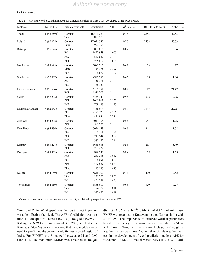# *Author's personal copy*

#### <span id="page-8-0"></span>Int J Biometeorol

#### Table 3 Coconut yield prediction models for different districts of West Coast developed using PCA-SMLR

| Districts        | No. of PCs       | Predictor variable           | Coefficient                      | VIF                   | $R^2 (p < 0.01)$ | RMSE (nuts $ha^{-1}$ ) | APEV $(\% )$ |
|------------------|------------------|------------------------------|----------------------------------|-----------------------|------------------|------------------------|--------------|
| Thane            | $6(95.989)^{\$}$ | Constant<br>Time             | 16,401.22<br>$-887.905$          | $\mathbf{1}$          | 0.73             | 2255                   | 49.83        |
| Raigad           | 7(96.025)        | Constant<br>Time             | 17,026.385<br>$-927.356$         | $\mathbf{1}$          | 0.70             | 2478                   | 57.73        |
| Ratnagiri        | 7(95.124)        | Constant<br>PC4              | 8063.865<br>1422.948             | 1.005                 | 0.87             | 691                    | 10.86        |
|                  |                  | $PC2$<br>PC1                 | 849.589<br>726.017               | $\mathbf{1}$<br>1.005 |                  |                        |              |
| North Goa        | 5(95.685)        | Constant<br>Time             | 5082.715<br>$-14.178$            | 1.102                 | 0.64             | 53                     | 0.17         |
| South Goa        | 6(95.537)        | PC5<br>Constant<br>PC4       | $-64.622$<br>4997.987<br>36.193  | 1.102<br>$\mathbf{1}$ | 0.63             | 38                     | 1.04         |
| Uttara Kannada   | 6(96.594)        | PC <sub>2</sub><br>Constant  | 36.339<br>6155.281               | $\mathbf{1}$          | 0.82             | 617                    | 21.47        |
| Udupi            | 6(96.212)        | PC1<br>Constant<br>PC1       | 1311.705<br>6435.343<br>1603.061 | $\mathbf{1}$<br>1.137 | 0.93             | 392                    | 12.98        |
| Dakshina Kannada | 4(92.843)        | PC <sub>2</sub><br>Constant  | $-709.198$<br>4165.994           | 1.137                 | 0.89             | 1347                   | 27.05        |
|                  |                  | $\rm{PC2}$<br>Time           | 2178.728<br>426.98               | 2.786<br>2.786        |                  |                        |              |
| Alleppey         | 6(94.872)        | Constant<br>PC <sub>2</sub>  | 6049.104<br>583.757              | $\mathbf{1}$          | 0.53             | 551                    | 1.76         |
| Kozhikode        | 6(94.636)        | Constant<br>PC <sub>2</sub>  | 7076.143<br>488.161              | 1.726                 | 0.66             | 248                    | 11.78        |
|                  |                  | PC4<br>PC5                   | 218.544<br>380.172               | 1.069<br>1.744        |                  |                        |              |
| Kannur           | 6(93.227)        | Constant<br>PC1              | 6636.035<br>288.222              | $\mathbf{1}$          | 0.54             | 263                    | 5.49         |
| Kottayam         | 7(95.813)        | Constant<br>PC <sub>6</sub>  | 4998.233<br>280.335              | 1.042                 | 0.98             | 58                     | 1.55         |
|                  |                  | PC <sub>2</sub><br>$\rm PC7$ | 184.091<br>194.074               | 1.007<br>1.008        |                  |                        |              |
| Kollam           | 6(94.159)        | Time<br>Constant             | 17.867<br>5816.392               | 1.037                 | 0.77             | 420                    | 2.52         |
|                  |                  | Time<br>PC4                  | 126.755<br>454.771               | 1.056<br>1.056        |                  |                        |              |
| Trivandrum       | 6(94.859)        | Constant<br>Time             | 6868.913<br>94.302               | 1.011                 | 0.68             | 320                    | 0.27         |
|                  |                  | PC4                          | 372.657                          | 1.011                 |                  |                        |              |

\$ Values in parenthesis indicates percentage variability explained by respective number of PCs

Tmax and Tmin. Wind speed was the fourth most important variable affecting the yield. The APE of validation was less than 10 except for Thane (46.10%), Raigad (10.95%), Ratnagiri (16.29%), Uttara Kannada (17.28%) and Dakshina Kannada (34.96%) districts implying that these models can be used for predicting the coconut yield for west coastal region of India. For ELNET, the  $R^2$  ranged between 0.74 and 0.99 (Table [7\)](#page-11-0). The maximum RMSE was obtained in Raigad

district (2155 nuts ha<sup>-1</sup>) with  $R^2$  of 0.82 and minimum RMSE was recorded in Kottayam district (23 nuts ha−<sup>1</sup> ) with  $R^2$  of 0.99. The importance of different weather parameters based on frequency of inclusion was in the order: SRAD =  $RH$  > Tmax = Wind > Tmin > Rain. Inclusion of weighted weather indices was more frequent than simple weather indices during development of yield prediction models. APE for validation of ELNET model varied between 0.21% (North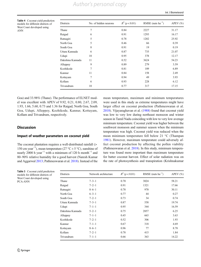*Author's personal copy*

<span id="page-9-0"></span>Table 4 Coconut yield prediction models for different districts of West Coast developed using ANN

| Districts        | No. of hidden neurons | $R^2$ (p < 0.01) | RMSE (nuts $ha^{-1}$ ) | APEV $(\% )$ |
|------------------|-----------------------|------------------|------------------------|--------------|
| Thane            | 7                     | 0.84             | 2227                   | 31.17        |
| Raigad           | 6                     | 0.91             | 1293                   | 16.17        |
| Ratnagiri        | 5                     | 0.78             | 1202                   | 25.92        |
| North Goa        | 5                     | 0.46             | 66                     | 0.39         |
| South Goa        | 8                     | 0.91             | 19                     | 0.19         |
| Uttara Kannada   | 6                     | 0.87             | 735                    | 21.07        |
| Udupi            | 10                    | 0.95             | 378                    | 12.17        |
| Dakshina Kannada | 11                    | 0.52             | 3624                   | 54.23        |
| Alleppey         | 9                     | 0.89             | 279                    | 3.59         |
| Kozhikode        | 7                     | 0.81             | 189                    | 6.89         |
| Kannur           | 11                    | 0.84             | 158                    | 2.49         |
| Kottayam         | 7                     | 0.94             | 49                     | 3.93         |
| Kollam           | 6                     | 0.93             | 228                    | 6.12         |
| Trivandrum       | 10                    | 0.77             | 317                    | 17.15        |

Goa) and 33.98% (Thane). The performance of ELNET model was excellent with APEV of 9.92, 0.21, 0.80, 2.67, 2.09, 1.93, 1.66, 5.60, 0.73 and 1.36 for Raigad, North Goa, South Goa, Udupi, Alleppey, Kozhikode, Kannur, Kottayam, Kollam and Trivandrum, respectively.

# **Discussion**

#### Impact of weather parameters on coconut yield

The coconut plantation requires a well-distributed rainfall (> 150 cm year−<sup>1</sup> ), mean temperature (27 °C ± 5 °C), sunshine of nearly 2000 h year<sup>-1</sup> with a minimum of 120 h month<sup>-1</sup> and 80–90% relative humidity for a good harvest (Naresh Kumar and Aggarwal [2013;](#page-14-0) Pathmeswaran et al. [2018\)](#page-14-0). Instead of the mean temperature, maximum and minimum temperatures were used in this study as extreme temperatures might have larger effect on coconut production (Pathmeswaran et al. [2018\)](#page-14-0). Vijayaraghavan et al. ([1988](#page-14-0)) found that coconut yield was low to very low during northeast monsoon and winter season in Tamil Nadu coinciding with low to very low average minimum temperature. Coconut yield was higher between the southwest monsoon and summer season when the minimum temperature was high. Coconut yield was reduced when the mean minimum temperature fell below 21 °C (Thampan [1981\)](#page-14-0). However, maximum temperature could adversely affect coconut production by affecting the pollen viability (Pathmeswaran et al. [2018](#page-14-0)). In this study, minimum temperature was found more important than maximum temperature for batter coconut harvest. Effect of solar radiation was on the rate of photosynthesis and transpiration (Krishnakumar

| <b>Districts</b> | Network architecture | $R^2$ (p < 0.01) | RMSE (nuts $ha^{-1}$ ) | APEV $(\% )$ |
|------------------|----------------------|------------------|------------------------|--------------|
| Thane            | $7 - 3 - 1$          | 0.70             | 3024                   | 58.21        |
| Raigad           | $7 - 2 - 1$          | 0.91             | 1321                   | 17.66        |
| Ratnagiri        | $8 - 6 - 1$          | 0.78             | 970                    | 30.11        |
| North Goa        | $6 - 3 - 1$          | 0.77             | 44                     | 0.27         |
| South Goa        | $7 - 2 - 1$          | 0.73             | 34                     | 0.74         |
| Uttara Kannada   | $7 - 3 - 1$          | 0.87             | 558                    | 19.74        |
| Udupi            | $7 - 1 - 1$          | 0.95             | 344                    | 16.59        |
| Dakshina Kannada | $5 - 2 - 1$          | 0.75             | 2857                   | 6.25         |
| Alleppey         | $7 - 1 - 1$          | 0.45             | 663                    | 3.63         |
| Kozhikode        | $7 - 2 - 1$          | 0.52             | 306                    | 1.93         |
| Kannur           | $7 - 1 - 1$          | 0.67             | 318                    | 4.69         |
| Kottayam         | $8 - 6 - 1$          | 0.96             | 77                     | 8.78         |
| Kollam           | $7 - 2 - 1$          | 0.78             | 415                    | 1.84         |
| Trivandrum       | $7 - 1 - 1$          | 0.66             | 363                    | 14.22        |

Table 5 Coconut yield prediction models for different districts of West Coast developed using PCA-ANN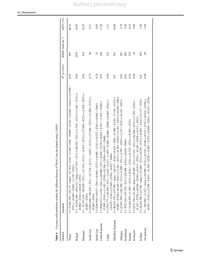|                  | Table 6 Coconut yield prediction models for different districts of West Coast developed using LASSO                                                                                                                                                                                                                                                                                                                                                                         |                  |                        |             |
|------------------|-----------------------------------------------------------------------------------------------------------------------------------------------------------------------------------------------------------------------------------------------------------------------------------------------------------------------------------------------------------------------------------------------------------------------------------------------------------------------------|------------------|------------------------|-------------|
| Districts        | Equation                                                                                                                                                                                                                                                                                                                                                                                                                                                                    | $R^2 (p < 0.01)$ | RMSE (nuts $ha^{-1}$ ) | APEV $(\%)$ |
| Thane            | Y = 75.61.03 × 7411 + (1411 52 × time) − (250) − (250 × 242 × 443 × 250 × 250 × 250 × 250 × 250 × 250 × 250 × 250 × 250 × 250 × 250 × 250 × 250 × 250 × 250 × 250 × 250 × 250 × 250 × 250 × 250 × 250 × 250 × 250 × 250 × 250<br>$Z351) - (0.049 \times Z360) - (1.159 \times Z361)$                                                                                                                                                                                        | 0.95             | 997                    | 46.10       |
| Raigad           | $Y = -16,934,380 - (436,332 \times time) + (317,651 \times Z11) + (151 \times Z131) + (151 \times Z131) \times Z151) + (151 \times Z131)$<br>$(0.084 \times Z161) + (0.618 \times Z351)$                                                                                                                                                                                                                                                                                    | 0.83             | 2073                   | 10.95       |
| Ratnagiri        | $(8 \times Z131) - (4.853 \times Z151) + (37.840 \times Z231) + (3.020 \times Z351) +$<br>$Y = -16,747.410 - (96.858 \times Z51) - (21.5)$<br>$(0.869 \times Z361)$                                                                                                                                                                                                                                                                                                         | 0.92             | 614                    | 16.29       |
| North Goa        | $Y = 6393.6495 - (9688 \times 858 \times Z51) - (21.511) + (21.5121 \times Z151) + (27.3121) + (27.512) + (27.512) + (27.512) + (27.512) + (27.512) + (27.512) + (27.512) + (27.512) + (27.512) + (27.512) + (27.512) + (27.512) + (27.512) + (27.512) + (27.512) + (27.512) + (27.512) + ($<br>$(0.869 \times Z361)$                                                                                                                                                       | 0.73             | 48                     | 0.31        |
| South Goa        | $Y = 524510 + 2222 \times 7212 + 11 + 2111 \times 844 \times 101000 + 11111 \times 11111 \times 11111 \times 11111 \times 11111 \times 11111 \times 11111 \times 11111 \times 11111 \times 11111 \times 11111 \times 11111 \times 11111 \times 11111 \times 11111 \times 11111 \times 11111 \times 11111 \times 11111 \times 11111 \times 11111 \times 111$                                                                                                                 | 0.78             | 32                     | 0.85        |
| Uttara Kannada   | + (0+27x×250; I) = (1+11x×2130; O+4 (1+27x×24+0) + (1-27x×2359; I) + (1+27x×259; I) + (2+27x×250; I)<br>$(5.998 \times Z341) + (1.182 \times Z350) + (0.346 \times Z450) + (0.013 \times Z460)$                                                                                                                                                                                                                                                                             | 0.97             | 244                    | 17.28       |
| Udupi            | γ = 5783.777+ (20,50 × Z131) − (2,620 × Z131) − (1,752) × 0,620 × 2592.0 + (2,523 × 2240) + (2,523 × 2000) + (<br>$(19.478 \times Z341) + (2.949 \times Z350) - (0.017 \times Z460)$                                                                                                                                                                                                                                                                                        | 0.99             | 152                    | 1.21        |
| Dakshina Kannada | $(0.003 \times Z150) + (0.240 \times Z261) + (3.581 \times Z351) + (0.285 \times Z361) + (3.361 \times Z451) + (0.003 \times Z461)$<br>$Y = 48,925.170 + (25.770 + 25.791 \times \text{time}) - (60.170 \times 250) + (0.380 \times 250) - (2.380 \times 2120) - (2.170 + 2.170 \times 2120) - (2.380 \times 2120) - (2.380 \times 2120) - (2.380 \times 2120) - (2.380 \times 2120) - (2.380 \times 2120) - (2.380 \times 2120) - (2.380 \times 2120) - (2.380 \times 212$ | 0.9              | 541                    | 34.96       |
| Alleppey         | $Y = 22,687.240 + (1333 \times Z21) + (2.880 \times Z241) + (111 \times Z21) + (2.93 \times Z21) + (2.51)$                                                                                                                                                                                                                                                                                                                                                                  | 0.81             | 381                    | 2.79        |
| Kozhikode        | $Y = 7078.168 + (55.578 \times Z21) + (28.490 \times Z341) + (0.024 \times Z461)$                                                                                                                                                                                                                                                                                                                                                                                           | 0.81             | 202                    | 2.50        |
| Kannur           | $\times$ Z161) + (9.529 $\times$ Z231) + (0.493 $\times$ Z251)<br>$Y = 14,304.470 + (1.902 \times Z) = 2121 + (0.011)$                                                                                                                                                                                                                                                                                                                                                      | 0.81             | 210                    | 0.12        |
| Kottayam         | $\times$ Z11) + (7.531 $\times$ Z51) + (26.398 $\times$ Z231) + (7.295 $\times$ Z241) -<br>$(0.103 \times Z250) + (0.546 \times Z340) + (0.149 \times Z450 \times Z450) + (0.513 \times Z451)$<br>$Y = 6223.758 + (33.540 \times \text{time}) + (30.405$                                                                                                                                                                                                                    | 0.99             | $\frac{8}{2}$          | 5.08        |
| Kollam           | $Y = 10,034,780 + (13,768 \times \text{time}) + (22.680 \times Z51) + (0.259 \times Z151) + (0.083 \times Z161) + (2.137 \times Z241)$                                                                                                                                                                                                                                                                                                                                      | 0.8              | 433                    | 1.20        |
| Trivandrum       | $(0.35 \times Z161) + (2.506 \times Z250) + (0.104 \times Z251) + (0.046 \times Z251) + (0.2261) - (0.252 \times Z350)$<br>$Y = -385.092 - (1.522 \times \text{time}) + (10.516 \times Z)140.516 \times Z115 \times Z1511 + (0.0140.0140 \times Z)160.$                                                                                                                                                                                                                     | 0.99             | $\mathcal{S}^9$        | 1.04        |

<span id="page-10-0"></span>Int J Biometeorol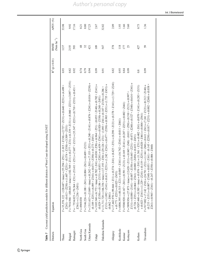<span id="page-11-0"></span>

| Table 7          | Coconut yield prediction models for different districts of West Coast developed using ELNET                                                                                                                                                                                                                                                                                                                                                                                    |                  |                           |                     |
|------------------|--------------------------------------------------------------------------------------------------------------------------------------------------------------------------------------------------------------------------------------------------------------------------------------------------------------------------------------------------------------------------------------------------------------------------------------------------------------------------------|------------------|---------------------------|---------------------|
| Districts        | Equation                                                                                                                                                                                                                                                                                                                                                                                                                                                                       | $R^2 (p < 0.01)$ | (Nuts $ha^{-1}$ )<br>RMSE | APEV <sub>(%)</sub> |
| Thane            | y = 35,7,78.1217 - 1217 × time) + (2,527 × 1510) - (1,627 × 254 × 254 × 254 × 254 × 254 × 254 × 254 × 254 × 254 × 254 × 254 × 254 × 254 × 254 × 254 × 254 × 254 × 254 × 254 × 254 × 254 × 254 × 254 × 254 × 254 × 254 × 254 ×<br>$-(0.574 \times Z350) + (3.509 \times Z351)$<br>$Z241$ ) – (0.413 × $Z250$ ) + (1.607 × $Z251$ )                                                                                                                                              | 0.93             | 1137                      | 33.98               |
| Raigad           | $Y = 7916.946 - (88.043 \times \text{time}) + (102.769 \times Z11) + (0.277 \times Z31) + (6.339 \times Z131) + (2131) + (2350 \times Z231)$                                                                                                                                                                                                                                                                                                                                   | 0.82             | 2155                      | 9.92                |
| Ratnagiri        | $Y = \frac{7534.023 + (70.364 \times Z31) + (53.11 \times Z31) + (70.87 \times Z131) + (70.364 \times Z31) + (9.11 \times Z31) + (9.11 \times Z31) + (9.11 \times Z31) + (9.11 \times Z31) + (9.11 \times Z31) + (9.11 \times Z31) + (9.11 \times Z31) + (9.11 \times Z31) + (9.11 \times Z31) + (9.11 \times Z31) + (9.11 \times Z31) + (9.11 \times Z31) + (9.11 \times$<br>$Z361$ ) + (1.236 × $Z451$ )                                                                     | 0.92             | 593                       | 17.16               |
| North Goa        | $Y = 4969.030$                                                                                                                                                                                                                                                                                                                                                                                                                                                                 | 0.74             | 48                        | 0.21                |
| South Goa        | $Y = 5146.226 + (0.188 \times Z41) + (0.004 \times Z61) + (0.409 \times Z121)$                                                                                                                                                                                                                                                                                                                                                                                                 | 0.79             | 32                        | 0.80                |
| Uttara Kannada   | $Y = 1311.615 + (5.849 \times \text{time}) + (0.242 \times 7241) + (7.155 \times Z/511) + (0.240 \times 7241) + (0.876 \times 7241) + (0.016 \times 7250) +$<br>$\times$ Z350) + (0.273 $\times$ Z451)<br>$(0.189 \times Z251) + (6.095 \times Z341) + (0.671$                                                                                                                                                                                                                 | 0.94             | 421                       | 17.23               |
| Udupi            | $Y = 3105.540 + (6.772 \times \text{time}) + (0.702 \times Z41) + (0.030 \times Z50) + (6.964 \times Z51) - (0.055 \times Z140) + (0.702 \times Z141) +$<br>$\times$ Z241) + (6.659 $\times$ Z341) + (0.920 $\times$ Z350) + (0.248 $\times$ Z451)<br>$(0.029 \times Z150) + (0.186 \times Z151) + (0.851$                                                                                                                                                                     | 0.99             | 109                       | 2.67                |
| Dakshina Kannada | + (1.242 × Z241) + (0.477 × Z350) + (0.968 × Z351) + (1.735 × Z451) +<br>$(3.230) + (29.126 \times Z31) - (1.093 \times Z41) + (0.107 \times Z130) + (0.286 \times Z130)$<br>$Y = 11,711.720 + (166.356 \times time) + (17.193$<br>$Z131$ ) + (1.092 × $Z141$ ) + (0.613 × $Z231$ )<br>$(0.062 \times Z461)$                                                                                                                                                                   | 0.91             | 547                       | 32.82               |
| Alleppey         | I 1 1410 × 2744.017 × 3566 + 000 + 000 + 000 + 000 + 000 + 000 + 000 + 000 × 211 1 + 000 × 200 + 000 + 000 + 000 + 000 + 000 + 000 + 000 + 000 + 000 + 000 + 000 + 000 + 000 + 000 + 000 + 000 + 000 + 000 + 000 + 000 + 000<br>$+(0.771 \times Z251)+(0.023 \times Z451)$                                                                                                                                                                                                     | 0.82             | 378                       | 2.09                |
| Kozhikode        | $Y = 6806.395 + (40.315 \times Z21) + (0.005 \times Z161) + (16.742 \times Z341) + (0.011 \times Z461)$                                                                                                                                                                                                                                                                                                                                                                        | 0.93             | 118                       | 1.93                |
| Kannur           | $Y = 920 + (0.01920 + 1) + (0.1711 + 0.0162) + (0.0161 + 0.0161) + (0.0161 + 0.0161) + (0.0161 + 0.0161) + (0.0161 + 0.0161) + (0.0161 + 0.0161) + (0.0161 + 0.0161) + (0.0161 + 0.0161) + (0.0161 + 0.0161) + (0.0161 + 0.0161) + (0.0161 + 0.0161) + (0.0161 + 0.01$                                                                                                                                                                                                         | 0.84             | 177                       | 1.66                |
| Kottayam         | + (1412×1910) + (19402×1252×12610) + (19402×126212 × 19502×126212 × 19502×1262×1262×1262 × 19502×126<br>$\times$ Z450) + (0.653 $\times$ Z451)<br>$(0.726 \times Z351) + (0.064 \times Z361) - (0.088$                                                                                                                                                                                                                                                                         | 0.99             | 23                        | 5.60                |
| Kollam           | $Y = 9207.440 + (8.585 \times time) + (0.402 \times Z/1) + (11.501 \times Z/1) + (0.402 \times Z/1) + (0.0070 \times Z/141) + (0.283 \times Z/151)$<br>+ (0.023 × Z161) + (1.229 × Z241) + (0.119 × Z251) + (0.020 × Z461) + (0.004 × Z561)                                                                                                                                                                                                                                    | 0.8              | 427                       | 0.73                |
| Trivandrum       | $\times$ Z161) – (0.145 $\times$ Z250) + (0.817 $\times$ Z251) + (0.002 $\times$ Z260) + (0.038 $\times$<br>y = 917.02 × 212 × 2142 × 2142 × 214 × 240 + (240 × 240 + (240 × 240 + (241 × 250 + (241 × 212 × 212 × 212 × 212 × 212 × 213 × 214 × 214 × 214 × 214 × 214 × 214 × 214 × 214 × 214 × 214 × 214 × 214 × 214 × 214 × 214 × 214 ×<br>$+(0.006 \times Z460)$<br>$(0.233 \times Z151) + (0.007 \times Z160) + (0.051$<br>$Z261$ + (0.965 × $Z341$ ) – (0.247 × $Z350$ ) | 0.99             | 59                        | 1.36                |
|                  |                                                                                                                                                                                                                                                                                                                                                                                                                                                                                |                  |                           |                     |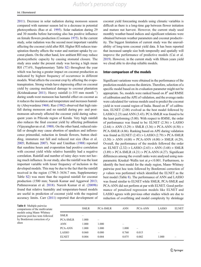[2011\)](#page-13-0). Decrease in solar radiation during monsoon season compared with summer season led to a decrease in potential photosynthesis (Rao et al. [1995\)](#page-14-0). Solar radiation during 29 and 30 months before harvesting also has positive influence on female flowers production (Coomans [1975](#page-13-0)). In the current study, solar radiation was the second most important variable affecting the coconut yield after RH. Higher RH reduces transpiration thereby affects the water and nutrient uptake by coconut plants. On the other hand, low ambient RH may reduce photosynthetic capacity by causing stomatal closure. The study area under the present study was having a high mean RH (77.6%, Supplementary Table S2) throughout the year which was having a greater impact on coconut production as indicated by highest frequency of occurrence in different models. Wind affects the coconut crop by affecting the evapotranspiration. Strong winds have depressing effect on coconut yield by causing mechanical damage to coconut plantation (Krishnakumar [2011\)](#page-13-0). Heavy rainfall  $(> 355$  mm month<sup>-1</sup>) during south-west monsoon has harmful effect on coconut as it reduces the insolation and temperature and increases humidity (Abeywardena [1968\)](#page-13-0). Rao ([1982](#page-14-0)) observed that high rainfall during monsoon and no rainfall during pre- and postmonsoon adversely affected the coconut yield during subsequent years in Pilicode region of Kerala. Very high rainfall also reduces the final coconut yield by affecting pollination (Vijayaraghavan et al. [1988](#page-14-0)). On the other hand, reduced rainfall or drought may cause abortion of spadices and inflorescence primordial, reduction in female flowers, button shedding, immature nut fall and reduced nut size (Rao et al. [2005;](#page-14-0) Rethinam [2007\)](#page-14-0). Nair and Unnithan [\(1988\)](#page-14-0) reported that sunshine hours and evaporation had positive correlation with coconut yield while relative humidity had a negative correlation. Rainfall and number of rainy days were not having much influence. In our study, also the rainfall was the least important variable with lesser frequency of inclusion in the developed models. This may be due to the fact that the rainfall received in the region (1790.3–3636.7 mm, Supplementary Table S2) was more than the required rainfall for coconut production (1500 mm; Naresh Kumar and Aggarwal [2013](#page-14-0); Pathmeswaran et al. [2018\)](#page-14-0). Naresh Kumar et al. ([2009b\)](#page-14-0) found that relative humidity and temperature-based models are useful in prediction of coconut yield with the required accuracy limits. Carr [\(2011](#page-13-0)) reported that development of coconut yield forecasting models using climatic variables is difficult as there is a long-time gap between flower initiation and mature nut harvest. However, the current study used monthly weather-based indices and significant relations were obtained between weather parameters and coconut productivity. The biggest limitation of current study was the unavailability of long-term coconut yield data. It has been reported that increased sample size both temporally and spatially will improve the performance of predictive models (Cai et al. [2019\)](#page-13-0). However, in the current study with fifteen years yield we cloud able to develop reliable models.

#### Inter-comparison of the models

Significant variations were obtained in the performance of the prediction models across the districts. Therefore, selection of a specific model based on its evaluation parameter might not be appropriate. So, models were ranked based on  $R^2$  and RMSE of calibration and the APE of validation, and the average ranks were calculated for various models used to predict the coconut yield in west coastal region of India. Based on  $R^2$  of calibration, ELNET (2.08) evolved as the best model followed by LASSO (2.23) and ANN (3.43). PCA-SMLR was found to be the least performing (5.00). With respect to RMSE, the order of performance was found to be: ELNET (2.36) > LASSO  $(2.64)$  > ANN  $(3.29)$  > SMLR  $(3.36)$  > PCA-ANN  $(4.50)$  > PCA-SMLR (4.86). Ranking based on APE during validation was found as  $ELNET$   $(2.43)$  >  $LASSO$   $(2.79)$  >  $PCA-SMLR$  $(3.50)$  > ANN  $(4.00)$  = PCA-ANN  $(4.00)$  > SMLR  $(4.29)$ . Overall, the performance of the models followed the order as: ELNET (2.32) > LASSO (2.63) > ANN (3.68) > SMLR  $(3.89)$  > PCA-SMLR  $(4.21)$  > PCA-ANN  $(4.27)$ . Significant differences among the overall ranks were analysed using nonparametric Kruskal–Wallis test at  $p < 0.001$ . Furthermore, to identify the best model for the study region, Mann–Whitney pairwise post hoc tests followed by Bonferroni correction of  $p$  values was performed which identified the ELNET as the best model (Table 8). The performance of ANN and LASSO was found similar to ELNET while SMLR, PCA-SMLR and PCA-ANN did not perform at par with ELNET. Good performance of penalized regression models like ELNET and LASSO agrees with previous other studies which are due to reduction of overfitting and model complexity by shrinkage

Table 8 Multiple pairwise comparisons of the multivariate models using Mann–Whitney pairwise post-hoc tests followed by Bonferroni correction of p alues

|                 | <b>SMLR</b> | <b>PCA-SMLR</b> | <b>ANN</b> | <b>PCA-ANN</b> | LASSO | <b>ELNET</b> |
|-----------------|-------------|-----------------|------------|----------------|-------|--------------|
| <b>SMLR</b>     |             |                 |            |                |       |              |
| <b>PCA-SMLR</b> | 1.000       |                 |            |                |       |              |
| <b>ANN</b>      | 1.000       | 1.000           | -          |                |       |              |
| <b>PCA-ANN</b>  | 1.000       | 1.000           | 1.000      |                |       |              |
| LASSO           | 0.060       | 0.080           | 0.760      | 0.015          | —     |              |
| <b>ELNET</b>    | 0.004       | 0.004           | 0.075      | 0.002          | 1.000 |              |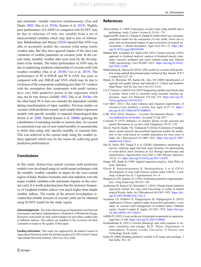<span id="page-13-0"></span>and automatic variable selection simultaneously (Zou and Hastie [2005;](#page-14-0) Das et al. 2018a; Kumar et al. [2019\)](#page-14-0). Slightly poor performance of LASSO as compared with ELNET may be due to selection of only one variable from a set of intercorrelated variables which may lead to loss of information. Balakrishnan and Meena (2010) reported that ANN was able to accurately predict the coconut yield using yearly weather data. But they have ignored impact of the intra-year variations of weather parameter on coconut yield. In the current study, monthly weather data were used for the development of the models. The better performance of ANN may be due to underlying nonlinear relationship of coconut yield with weather variables (Das et al. 2018b; Cai et al. 2019). The performance of PCA-SMLR and PCA-ANN was poor as compared with sole SMLR and ANN which may be due to exclusion of the components explaining less than 5% variance with the assumption that components with small variance have very little predictive power in the regression which may not be true always (Jolliffe 1982; Das et al. 2018a). On the other hand, PCA does not consider the dependent variable during transformation of input variables. Previous studies on coconut yield prediction mainly used simple linear regression models with specific monthly or seasonal climatological data (Peiris et al. [2008](#page-14-0); Naresh Kumar et al. [2009b\)](#page-14-0) ignoring the contribution of remaining months or seasons data. As coconut is a perennial crop, use of year-round monthly or seasonal data is better than using only specific monthly or seasonal data. This was achieved in the current study using the weather indices approach which may be the reason for achieving good prediction performances.

# **Conclusions**

In this study, district-wise annual coconut yield prediction models were developed using six multivariate techniques with the monthly weather variables as inputs for the west coastal region of India. Relative humidity and solar radiation were the major weather variables with maximum impacts on the coconut yield. It is worth indicating here that the inclusion frequency of weighted weather indices was much higher than simple weather indices. The results of the present investigation revealed that reliable forecast of coconut yield can be obtained using ELNET model for the study region.

Acknowledgements The India Meteorological Department and National Aeronautics and Space Administration's Prediction of Worldwide Energy Resources web portal are duly acknowledged for providing weather data of different stations. The authors are thankful to the reviewers for their comments to improve the quality of this paper.

Funding information This work was supported by the Indian Council of Agricultural Research under the Institute project at ICAR-Central Coastal Agricultural Research Institute, Old Goa, Goa, India.

#### References

- Abeywardena V (1968) Forecasting coconut crops using rainfall data-a preliminary study. Ceylon Coconut Q 19:161–176
- Aggarwal PK, Kalra N, Chander S, Pathak H (2006) InfoCrop: a dynamic simulation model for the assessment of crop yields, losses due to pests, and environmental impact of agro-ecosystems in tropical environments. I. Model description. Agric Syst 89:1–25. [https://doi.](https://doi.org/10.1016/j.agsy.2005.08.001) [org/10.1016/j.agsy.2005.08.001](https://doi.org/10.1016/j.agsy.2005.08.001)
- Balabin RM, Lomakina EI, Safieva RZ (2011) Neural network (ANN) approach to biodiesel analysis: analysis of biodiesel density, kinematic viscosity, methanol and water contents using near infrared (NIR) spectroscopy. Fuel 90:2007–2015. [https://doi.org/10.1016/j.](https://doi.org/10.1016/j.fuel.2010.11.038) [fuel.2010.11.038](https://doi.org/10.1016/j.fuel.2010.11.038)
- Balakrishnan K, Meena M (2010) ANN model for coconut yield prediction using optimal discriminant plane method at Bay Islands. IUP J Comput Sci 4:27–34
- Brejda JJ, Moorman TB, Karlen DL, Dao TH (2000) Identification of regional soil quality factors and indicators I. Central and Southern High Plains. Soil Sci Soc Am J 64:2115–2124
- Cai Y, Guan K, Lobell D et al (2019) Integrating satellite and climate data to predict wheat yield in Australia using machine learning approaches. Agric For Meteorol 274:144–159. [https://doi.org/10.](https://doi.org/10.1016/j.agrformet.2019.03.010) [1016/j.agrformet.2019.03.010](https://doi.org/10.1016/j.agrformet.2019.03.010)
- Carr MKV (2011) The water relations and irrigation requirements of coconut (Cocos nucifera): a review. Exp Agric 47:27–51. [https://](https://doi.org/10.1017/S0014479710000931) [doi.org/10.1017/S0014479710000931](https://doi.org/10.1017/S0014479710000931)
- CDB 2016 (2016) Statistics :: Coconut Development Board :: [http://](http://coconutboard.nic.in/stat.htm) [coconutboard.nic.in/stat.htm](http://coconutboard.nic.in/stat.htm). Accessed 22 Jun 2017
- Coomans P (1975) Influence of climatic factors on the seasonal and annual fluctuations in coconut yield. Oleagineux 30:153–159
- Das B, Nair B, Reddy VK, Venkatesh P (2018a) Evaluation of multiple linear, neural network and penalised regression models for prediction of rice yield based on weather parameters for west coast of India. Int J Biometeorol 62:1809–1822. [https://doi.org/10.1007/](https://doi.org/10.1007/s00484-018-1583-6) [s00484-018-1583-6](https://doi.org/10.1007/s00484-018-1583-6)
- Das B, Sahoo RN, Pargal S et al (2018b) Quantitative monitoring of sucrose, reducing sugar and total sugar dynamics for phenotyping of water-deficit stress tolerance in rice through spectroscopy and chemometrics. Spectrochim Acta Part A Mol Biomol Spectrosc 192:41–51. <https://doi.org/10.1016/j.saa.2017.10.076>
- Draper NR, Smith H (1998) Applied regression analysis. John Wiley & Sons, Hoboken
- Ghosh K, Balasubramanian R, Bandopadhyay S et al (2014) Development of crop yield forecast models under FASAL- a case study of kharif rice in. J Agrometeorol 16:1–8
- Hargreaves GH, Samani ZA (1982) Estimating potential evapotranspiration. J Irrig Drain Eng 108:225–230
- Jayakumar M, Rajavel M, Surendran U (2016) Climate-based statistical regression models for crop yield forecasting of coffee in humid tropical Kerala, India. Int J Biometeorol 60:1943–1952. [https://doi.](https://doi.org/10.1007/s00484-016-1181-4) [org/10.1007/s00484-016-1181-4](https://doi.org/10.1007/s00484-016-1181-4)
- Jayashree LS, Palakkal N, Papageorgiou EI, Papageorgiou K (2015) Application of fuzzy cognitive maps in precision agriculture: a case study on coconut yield management of southern India's Malabar region. Neural Comput & Applic 26:1963–1978. [https://doi.org/](https://doi.org/10.1007/s00521-015-1864-5) [10.1007/s00521-015-1864-5](https://doi.org/10.1007/s00521-015-1864-5)
- Jolliffe IT (1982) A note on the use of principal components in regression. Appl Stat 31:300. <https://doi.org/10.2307/2348005>
- Krishnakumar K (2011) Coconut phenology and yield response to climate variability and change. Ph.D. Thesis. Department of Atmospheric Sciences Cochin University of Science and Technology, Kochi, India
- Kuhn M (2008) Building predictive models in R using caret package. J Stat Softw 28:1–26